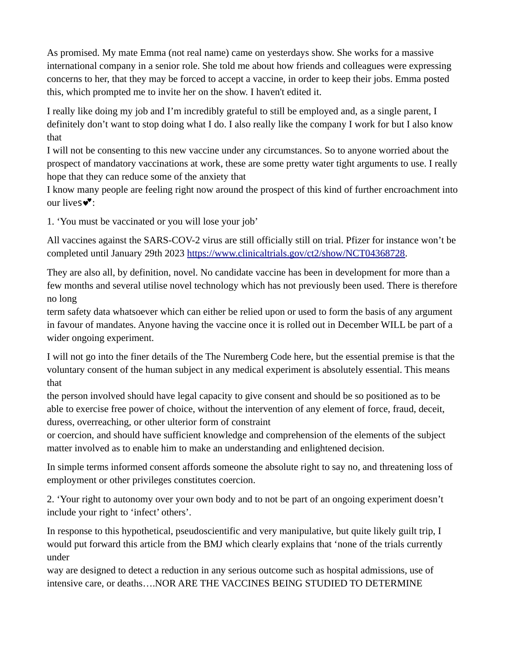As promised. My mate Emma (not real name) came on yesterdays show. She works for a massive international company in a senior role. She told me about how friends and colleagues were expressing concerns to her, that they may be forced to accept a vaccine, in order to keep their jobs. Emma posted this, which prompted me to invite her on the show. I haven't edited it.

I really like doing my job and I'm incredibly grateful to still be employed and, as a single parent, I definitely don't want to stop doing what I do. I also really like the company I work for but I also know that

I will not be consenting to this new vaccine under any circumstances. So to anyone worried about the prospect of mandatory vaccinations at work, these are some pretty water tight arguments to use. I really hope that they can reduce some of the anxiety that

I know many people are feeling right now around the prospect of this kind of further encroachment into our lives $\mathbf{v}$ :

1. 'You must be vaccinated or you will lose your job'

All vaccines against the SARS-COV-2 virus are still officially still on trial. Pfizer for instance won't be completed until January 29th 2023 [https://www.clinicaltrials.gov/ct2/show/NCT04368728.](https://l.facebook.com/l.php?u=https%3A%2F%2Fwww.clinicaltrials.gov%2Fct2%2Fshow%2FNCT04368728&h=AT3tmhCBjDXPovPdllulU5wwdqW_78rJQANS2ZoJeTklik-DJ92hUxVwBXHM5UWz8LFsp4vqJYKfzwkPaMGcgSX5BAkug-jWwCdjnnbQcmKFFofUh28siuR2htqt-FxK7HG3Jz4PSS8bgiottoFyEUEIeKBr5QXql-dCPs0dS8_hw8EeDbJTl6tLX-EKYiNGOJLI78G00Z8w534iFyvbUySCQU45gH2sMdwjIqy4o5cvKdOckqm-9rbKYpQ8YP2vF_eLEgk1HxTYO8ItFM73qmYVRwtTEjhkThAo441RI0H0nfgeSsDNHH5ccrl_4E_rO-OGmA6-2U0-6QiS2Jc-jxbHI26s2T8EuBrKj9LcC2yqz6MHEBgtY2uitDcqeRWACv00tSf-9i_1dFvHDGLRPxHB_GmR5GmFjXlg_EUV8Tr0VlHw7mTQHA6to0tqeTWn3Smnah5nBI0Y7ALFhMYCg5Ey8OMgiWt4ldyrYx-jH0q2lWu8KEl3Uyy1_O94m36AeADLw_7AbUc6vwPy45yF84WplScHbHBV1E9hAYCiKuJrzEuDnpQVqb30LfWC2jCW_kgJDVruBvNVpJGTRLS4Fi3tB59hcXehh3rf0pBljsRUqktyT47wzfZMLF9XFM3m0UhwwlPULyhX_1deVIFYwoaoUmTUlg)

They are also all, by definition, novel. No candidate vaccine has been in development for more than a few months and several utilise novel technology which has not previously been used. There is therefore no long

term safety data whatsoever which can either be relied upon or used to form the basis of any argument in favour of mandates. Anyone having the vaccine once it is rolled out in December WILL be part of a wider ongoing experiment.

I will not go into the finer details of the The Nuremberg Code here, but the essential premise is that the voluntary consent of the human subject in any medical experiment is absolutely essential. This means that

the person involved should have legal capacity to give consent and should be so positioned as to be able to exercise free power of choice, without the intervention of any element of force, fraud, deceit, duress, overreaching, or other ulterior form of constraint

or coercion, and should have sufficient knowledge and comprehension of the elements of the subject matter involved as to enable him to make an understanding and enlightened decision.

In simple terms informed consent affords someone the absolute right to say no, and threatening loss of employment or other privileges constitutes coercion.

2. 'Your right to autonomy over your own body and to not be part of an ongoing experiment doesn't include your right to 'infect' others'.

In response to this hypothetical, pseudoscientific and very manipulative, but quite likely guilt trip, I would put forward this article from the BMJ which clearly explains that 'none of the trials currently under

way are designed to detect a reduction in any serious outcome such as hospital admissions, use of intensive care, or deaths….NOR ARE THE VACCINES BEING STUDIED TO DETERMINE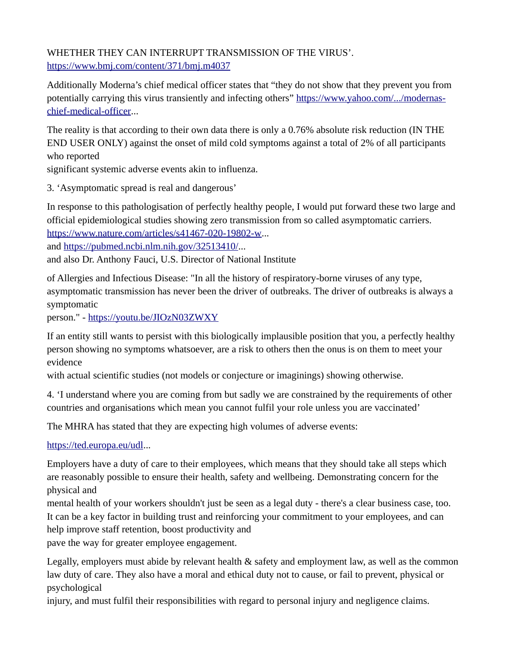WHETHER THEY CAN INTERRUPT TRANSMISSION OF THE VIRUS'. [https://www.bmj.com/content/371/bmj.m4037](https://l.facebook.com/l.php?u=https%3A%2F%2Fwww.bmj.com%2Fcontent%2F371%2Fbmj.m4037&h=AT1nSh57W1bkH0g_YIZdKjVg7R-uo98UVIXL4DrH73HZfejdqWQVIWPIEiKD7sCOg2nLhTzGn77yQe8G0gA8rqvtPz2iqJbLSwHHiu73IsLLtbbAqm6zQHeE9yAaTmfJ7dFvxNrBfHsR_AJ5hSiT8YSmTQgn88rAMZA2N_c7PTzlvaS1Jgp921CIGSwPGjjy_nm5oZZwIYbOyzs3DhTqmwie2TYPLA-anJN_N-z-KRddeWvm5T4I05fOLSQtwyAx1wLqpBi5QOgshNGAQafujYScTZI4JSMVjZxYROrozqt1JRIszkEcGiO5474I6JtTvcyVj6D-MWxuWxDevooD7SjBvC8Qfn1NRxwNCL9s5xTKydgcaNZJB0DhI0uUg9yt_bE3MOK2ewnlnIrXsgtD4tn_fBgXsHvaAxd4scxpYbMDbN8lxtjkSA4lzz2j4qwPQpI7Iksy-QPKlW7-M_K96S2--evmRJ0TjmiBmKnpFLG6YICrArG9QuCzIjxe5TKGI8VQ07FdgJkOQ4oycv21CZTL11CktsIrqmL8zfZMpTPfHKpDPxUlH5C6sicC8C2IeaLszEsT6pOVCPsLpWXwuXdoim7nymCxiYsRwr9345DwC4ML09GfzILCAeUnM8gcLpGWGCJT5G3RXfet7gg2lUPF1el2FQ)

Additionally Moderna's chief medical officer states that "they do not show that they prevent you from potentially carrying this virus transiently and infecting others" [https://www.yahoo.com/.../modernas](https://l.facebook.com/l.php?u=https%3A%2F%2Fwww.yahoo.com%2F...%2Fmodernas-chief-medical-officer&h=AT1mZkoVM3w5vCd_jP-asAWbOs_BhF86nviDNt2UmAaxsBq3iw_vGwXICKhOiQrbJOrcASkOmLB6oU7cwboc5B5NKRk-UsDn0cR7zB3DZIr3yLwZwdLOAJsc2y2qH7pztfakUCBO4nnQ79Nl1N22LJt7nRjJe_0okcxMCskazkOuYIiHkX3uTmP5BnVbTzAfup3-EGmfb7b5MoRIit2RdHPbXbAxl5-xkHvrNjhORRhzl3EUH9U1PAZDLIZO8px5kDNMmHh233Sc2xiY8cT3Z7pFBKx_p7hwO84B8EmwmSoI21RO_HL2WfCLw3Ndh4W0YhrAJMdV_8FdtgpUajKW7aK_INCPd7fqO7lhmWSTP0q6rZhdx3vuEtGY040ZoT786t7RrMYAc2sEa5siDX4yBaFqWpK9YH6iEcx7gvua5bJOjt-UhTtDLUr7mkCxWI_CM0TU9QQN_o5uIqkcs46TjWjYzbCyq7ULF758Ty_TqOzmQqcW42clJn6ZwCwBtxfWEyyXZnv-qgPrD2VdBSxk7tELevJ-Jf_q0aDAoZ5hkAVRH6Vf_Xujs75vowHH2bJO73N0t3Bjt5hMkK5g19mS4L8xdCv4LE5Tg60bPPFU24q_aVx20nQAIjbS5HtBNH_bYwguPD1xYyMjMmoxDoNVlCrrqpLk-g)[chief-medical-officer.](https://l.facebook.com/l.php?u=https%3A%2F%2Fwww.yahoo.com%2F...%2Fmodernas-chief-medical-officer&h=AT1mZkoVM3w5vCd_jP-asAWbOs_BhF86nviDNt2UmAaxsBq3iw_vGwXICKhOiQrbJOrcASkOmLB6oU7cwboc5B5NKRk-UsDn0cR7zB3DZIr3yLwZwdLOAJsc2y2qH7pztfakUCBO4nnQ79Nl1N22LJt7nRjJe_0okcxMCskazkOuYIiHkX3uTmP5BnVbTzAfup3-EGmfb7b5MoRIit2RdHPbXbAxl5-xkHvrNjhORRhzl3EUH9U1PAZDLIZO8px5kDNMmHh233Sc2xiY8cT3Z7pFBKx_p7hwO84B8EmwmSoI21RO_HL2WfCLw3Ndh4W0YhrAJMdV_8FdtgpUajKW7aK_INCPd7fqO7lhmWSTP0q6rZhdx3vuEtGY040ZoT786t7RrMYAc2sEa5siDX4yBaFqWpK9YH6iEcx7gvua5bJOjt-UhTtDLUr7mkCxWI_CM0TU9QQN_o5uIqkcs46TjWjYzbCyq7ULF758Ty_TqOzmQqcW42clJn6ZwCwBtxfWEyyXZnv-qgPrD2VdBSxk7tELevJ-Jf_q0aDAoZ5hkAVRH6Vf_Xujs75vowHH2bJO73N0t3Bjt5hMkK5g19mS4L8xdCv4LE5Tg60bPPFU24q_aVx20nQAIjbS5HtBNH_bYwguPD1xYyMjMmoxDoNVlCrrqpLk-g)..

The reality is that according to their own data there is only a 0.76% absolute risk reduction (IN THE END USER ONLY) against the onset of mild cold symptoms against a total of 2% of all participants who reported

significant systemic adverse events akin to influenza.

3. 'Asymptomatic spread is real and dangerous'

In response to this pathologisation of perfectly healthy people, I would put forward these two large and official epidemiological studies showing zero transmission from so called asymptomatic carriers. [https://www.nature.com/articles/s41467-020-19802-w.](https://l.facebook.com/l.php?u=https%3A%2F%2Fwww.nature.com%2Farticles%2Fs41467-020-19802-w&h=AT0dZlyH5_UL9DxPufMxc-FaVWv00Eaw_qY7JjcbHeAl5EXDFEzj0SXHTD0iSeBPT95UdxuDIqaN-sgffX-M21_V1kSW8qxoDNsWisFf15FAZL7Lk4-8_PKqW-Xx2Ov2bWgIisucj2c7jAQabytipWt3niB4MBpe9KZ6ynX3m2KYX_1_V_VwSbfLdx7OYDxaCkIWN4eYn1nhXB-_nlQOzavyxfGmJjHqkh417fxXzqpmrCUapFBeh1CuI5tfoIwBOtyLRwPlBudCc6KWnD_lkmF1UNS_C2Sn-qA5Lv8HD593FjYbyacil1RMKEzwEzKRkJm41W7fEDUo8Yt9VlCiex8Z8RJrezo7sj2qxeGGZEmobOLruKo2NzsnwFh_e5IpZ7ntVcxUeA4JFD892PrAcvPjlb29GCkGaqd_MPgEGf2DesTFDTRiEjdRdgzVYQfOLNfQd6bRbET8thpP4mrqxRyu_Dt7C0_mq2aYe7G3CvoH5EbW8y-mxKn4pLBVQp5UUu8uhmAz_HSam6HUyQA99mNLOefyeA_yRJWnHI-RjcmO4SDz77-Lry4uNTw1k4KqW9iuvvL2oBcNZTyyOP4tgKXEDkWfi9QTgTlS2taccARf_lDiRkohH1X8i76H_RUHraXXVzeeGFyA4kZAGAiWgU0hix7n6g)..

and [https://pubmed.ncbi.nlm.nih.gov/32513410/.](https://l.facebook.com/l.php?u=https%3A%2F%2Fpubmed.ncbi.nlm.nih.gov%2F32513410%2F&h=AT30jdYpPImQ3dRHrYwTkKhF5VX2t22GkRWUy6p7asSw75UFf0eOK58fswTl4n97N6EPekRaTS-0_lzScZqPJzxBkZQlPaoz01Bfte_2cKBDYtlUlNIjO9jaKRzEogsUJPkj5n4IJKi3i5dldgzoktlJz7ahT6VuCRXs2-H4M5Ujr7oePDjFYClR_4-d9ArKRHTqsd_KmbiAc3HZCYJV2Fszg678QrRLR-xp7BcYbfe9zHQD8D2QLki98A-BV7EO4TDOBHHDZCUwdkquCGuz4QGFXSE9hKE-zFHKDBKkNFp3ClOZ0212e50OEhIP82ri-4tbISpiwe6Q28rsXyuJo8Qe9vX-cqOO8u22isJSfXHHwaLbxqhURtxAQutboaCU8CwRC4DDYuZS3WdY5Gj9WugxudOOd5O-XRFUrVYboDB_JiK6pAvyckFWru7qKifl_VbCPQapWKXBFLnb16n37KaoNo0Xg72rge9KEVvpCiMMrDEQQEylxSXa_p0sWXwWgms93sClqlVDJCJm7Ic2ILjRWMQK7sj0AluE2spqwmLbUAU8nLoYXqA7tO9H3rrE9wdtFu0eEm0L2ux8u9EPs8tKYXpZFuKSTo6StDsl_QqMCH8A6smLsYSqHXx_j1NUT4waA2Eny9r-bopC_XVdH9FeQLItkQ)..

and also Dr. Anthony Fauci, U.S. Director of National Institute

of Allergies and Infectious Disease: "In all the history of respiratory-borne viruses of any type, asymptomatic transmission has never been the driver of outbreaks. The driver of outbreaks is always a symptomatic

person." - [https://youtu.be/JIOzN03ZWXY](https://l.facebook.com/l.php?u=https%3A%2F%2Fyoutu.be%2FJIOzN03ZWXY&h=AT0PwF85tSuqpT1nDjZEmYfgbPW91K35pL-oPFYf8ZikU5HKbV6FRsN3AEN8DytqnmIu2phVN8DQosypVnwOPnYfwTY0vX4XaWUR-z5fHctAVH2reKtJiNDJJd2yljEG3Jp5yBEhX_Mr5_QsIqTLuB2xNyzufmyEF1kBDvzYV5Ou7Dntxi4Sltn_6399b35WYG8VLZ8EcaiFqSmfXhv0JfNUvpgAKfORl7inNRHgRyEu_t6HWpQgTx59b3b6MkGsTLO2EnO-dMltGTwyjZfFGLnQq-dDOae2lsgRVlbQmRNhS2htbLnmBg3T0-m1BG0AO525PBU36AK73dqFMxvTcA5JeGwxFQHpQw8mVPYYN-MeaO1XzIuLxERMUmiJkKhePpp461X66DpTslHohnYwOHky0D06DB4F4hdq_wYAb6zctxoB2RSpdh1jVtY0nXNmV0Sq3sYmH9siViA14fa5bTub44BmGWUWkOo_Qaj79C7m4ldAdJSD-Ad9u13ES7xzZ0dXK7ImXUnDHJex_HiXTWg44RNnyr5iELCuOm4vOf6oFYDF5KlfTk35NX8OtOaSKnDhx-7--npmmmW2pusX7RHhxS-c2YtDU12KMCsUdqT_8vXTp7fF7hIPc0xr15C_ZEdkF_6QnoBZ8PdYectqp8ajUS40ow)

If an entity still wants to persist with this biologically implausible position that you, a perfectly healthy person showing no symptoms whatsoever, are a risk to others then the onus is on them to meet your evidence

with actual scientific studies (not models or conjecture or imaginings) showing otherwise.

4. 'I understand where you are coming from but sadly we are constrained by the requirements of other countries and organisations which mean you cannot fulfil your role unless you are vaccinated'

The MHRA has stated that they are expecting high volumes of adverse events:

[https://ted.europa.eu/udl.](https://l.facebook.com/l.php?u=https%3A%2F%2Fted.europa.eu%2Fudl&h=AT3l7Q_EWVmXPm-k5rHnm3yD0LdjrlNTlpGjFzh3_mnr1i6NzniRFcC3WbHCgNAueW1xLn-Ctgbqeg1MG5Z6xYBrOUGoOM-bs2fhUIjRXEkblxKrE4ueh00bLpMLsYgRAd0hT0TYUdZ3gtqVYgX3IoDnsyYfoHUpgaEzkJF8qVhj4bqCD4jAg-1zlsXPwrO4WXWiLDL2Ab5tNzB36LZ6EkhopaWk-yknTSqI_eJLqgA4t7JQSm7pTn4mVkX5WFTy9ShJBHGdyY1-T-KbzTVe0Yxe-azxy2c4jk4sfd45eaCKTS5adPPwHPBobV7Gqv30E6rwDE2fZxWQO4BuUQ7V98e3guwy6lZUUVHFmuUMk3kwg0nk3zt1wRVKnJ05sry_-tx_zp3G0PrRhW4Gj_B1ZEXrdlRx8kx73mDBv8zGO0hIuTR2fYMwYOmqP_3sSuXBpaDL7IyVyj3mZ9K2vSiqZIPRxOWso7Gqx8qSpugtb6q3S63jT-BH1jbTNWPdMEDZ8sYxwQ6Dx6M-3PdxjDuFj5M8bqva3O4Tcs-fmxigAqNFKkdKogB8iwRiDW7CQ-UeggMlfQKsf8f4zBHKeoRxl95gdBmHIIJ-o1k2xacq7uQToTjIWI6j_3tTDp08i8yra1jEeiUuedutAPryZ9Kt6h1g1xEmxQ)..

Employers have a duty of care to their employees, which means that they should take all steps which are reasonably possible to ensure their health, safety and wellbeing. Demonstrating concern for the physical and

mental health of your workers shouldn't just be seen as a legal duty - there's a clear business case, too. It can be a key factor in building trust and reinforcing your commitment to your employees, and can help improve staff retention, boost productivity and

pave the way for greater employee engagement.

Legally, employers must abide by relevant health & safety and employment law, as well as the common law duty of care. They also have a moral and ethical duty not to cause, or fail to prevent, physical or psychological

injury, and must fulfil their responsibilities with regard to personal injury and negligence claims.